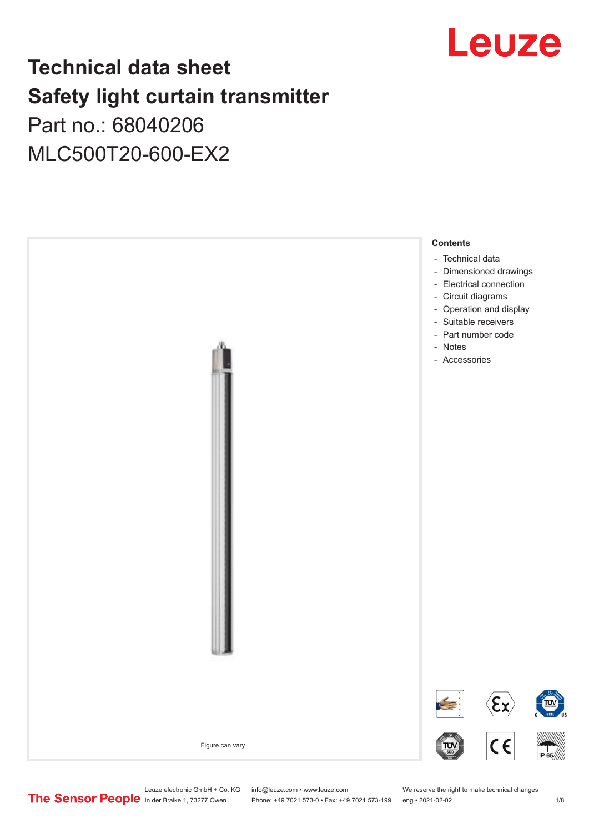

## **Technical data sheet Safety light curtain transmitter** Part no.: 68040206

MLC500T20-600-EX2



Leuze electronic GmbH + Co. KG info@leuze.com • www.leuze.com We reserve the right to make technical changes<br>
The Sensor People in der Braike 1, 73277 Owen Phone: +49 7021 573-0 • Fax: +49 7021 573-199 eng • 2021-02-02

Phone: +49 7021 573-0 • Fax: +49 7021 573-199 eng • 2021-02-02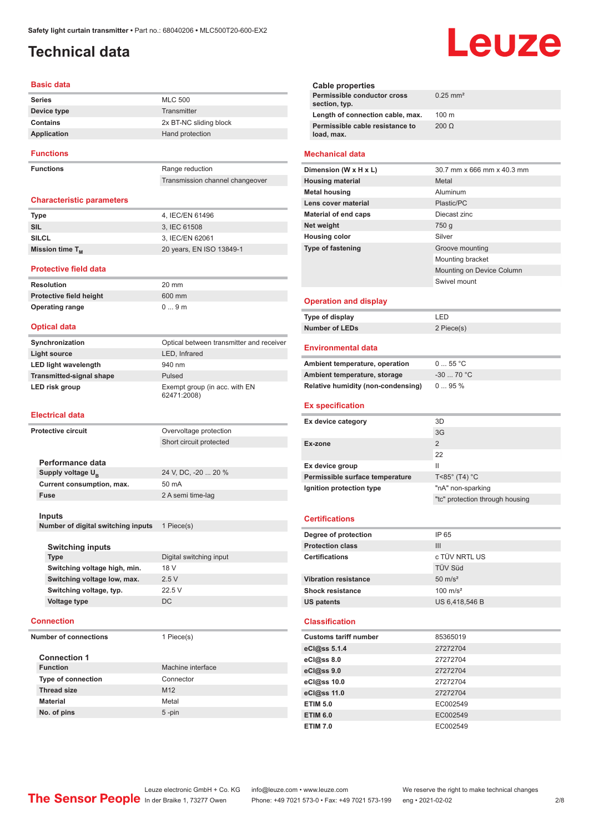## <span id="page-1-0"></span>**Technical data**

#### **Basic data**

| <b>Series</b>    | <b>MLC 500</b>         |
|------------------|------------------------|
| Device type      | Transmitter            |
| Contains         | 2x BT-NC sliding block |
| Application      | Hand protection        |
| <b>Functions</b> |                        |

**Functions** Range reduction

Transmission channel changeover

#### **Characteristic parameters**

| <b>Type</b>          | 4. IEC/EN 61496          |
|----------------------|--------------------------|
| SIL                  | 3. IEC 61508             |
| <b>SILCL</b>         | 3, IEC/EN 62061          |
| Mission time $T_{M}$ | 20 years, EN ISO 13849-1 |

#### **Protective field data**

**Resolution** 20 mm **Protective field height** 600 mm **Operating range** 0 ... 9 m

#### **Optical data**

| Synchronization                 | Optical between transmitter and receiver     |
|---------------------------------|----------------------------------------------|
| Light source                    | LED, Infrared                                |
| <b>LED light wavelength</b>     | 940 nm                                       |
| <b>Transmitted-signal shape</b> | Pulsed                                       |
| LED risk group                  | Exempt group (in acc. with EN<br>62471:2008) |

#### **Electrical data**

| <b>Protective circuit</b>    |                                    | Overvoltage protection  |
|------------------------------|------------------------------------|-------------------------|
|                              |                                    | Short circuit protected |
|                              |                                    |                         |
|                              | Performance data                   |                         |
|                              | Supply voltage U <sub>R</sub>      | 24 V, DC, -20  20 %     |
|                              | Current consumption, max.          | 50 mA                   |
|                              | <b>Fuse</b>                        | 2 A semi time-lag       |
|                              |                                    |                         |
|                              | Inputs                             |                         |
|                              | Number of digital switching inputs | 1 Piece(s)              |
|                              |                                    |                         |
|                              | <b>Switching inputs</b>            |                         |
|                              | <b>Type</b>                        | Digital switching input |
|                              | Switching voltage high, min.       | 18 V                    |
|                              | Switching voltage low, max.        | 2.5V                    |
|                              | Switching voltage, typ.            | 22.5 V                  |
|                              | Voltage type                       | DC.                     |
|                              |                                    |                         |
|                              | <b>Connection</b>                  |                         |
| <b>Number of connections</b> |                                    | 1 Piece(s)              |
|                              |                                    |                         |
|                              | <b>Connection 1</b>                |                         |

| <b>Function</b>           | Machine interface |
|---------------------------|-------------------|
| <b>Type of connection</b> | Connector         |
| <b>Thread size</b>        | M <sub>12</sub>   |
| <b>Material</b>           | Metal             |
| No. of pins               | $5$ -pin          |

#### **Cable properties Permissible conductor cross section, typ.** 0.25 mm² **Length of connection cable, max.** 100 m **Permissible cable resistance to load, max.** 200 Ω **Mechanical data Dimension (W x H x L)** 30.7 mm x 666 mm x 40.3 mm **Housing material** Metal **Metal housing Aluminum Lens cover material** Plastic/PC **Material of end caps** Diecast zinc **Net weight** 750 g **Housing color** Silver **Type of fastening** Groove mounting Mounting bracket Mounting on Device Column Swivel mount **Operation and display Type of display** LED **Number of LEDs** 2 Piece(s)

#### **Environmental data**

| Ambient temperature, operation     | $055$ °C   |
|------------------------------------|------------|
| Ambient temperature, storage       | $-3070 °C$ |
| Relative humidity (non-condensing) | $095\%$    |

#### **Ex specification**

| Ex device category              | 3D                               |
|---------------------------------|----------------------------------|
|                                 | 3G                               |
| Ex-zone                         | 2                                |
|                                 | 22                               |
| Ex device group                 | Ш                                |
| Permissible surface temperature | $T < 85^\circ$ (T4) $^{\circ}$ C |
| Ignition protection type        | "nA" non-sparking                |
|                                 | "tc" protection through housing  |
|                                 |                                  |

#### **Certifications**

| Degree of protection        | IP 65               |
|-----------------------------|---------------------|
| <b>Protection class</b>     | Ш                   |
| <b>Certifications</b>       | c TÜV NRTL US       |
|                             | <b>TÜV Süd</b>      |
| <b>Vibration resistance</b> | $50 \text{ m/s}^2$  |
| <b>Shock resistance</b>     | $100 \text{ m/s}^2$ |
| <b>US patents</b>           | US 6,418,546 B      |
|                             |                     |

#### **Classification**

| <b>Customs tariff number</b> | 85365019 |
|------------------------------|----------|
| eCl@ss 5.1.4                 | 27272704 |
| $eC/\omega$ ss 8.0           | 27272704 |
| eCl@ss 9.0                   | 27272704 |
| eCl@ss 10.0                  | 27272704 |
| eCl@ss 11.0                  | 27272704 |
| <b>ETIM 5.0</b>              | EC002549 |
| <b>ETIM 6.0</b>              | EC002549 |
| <b>ETIM 7.0</b>              | EC002549 |

Leuze electronic GmbH + Co. KG info@leuze.com • www.leuze.com We reserve the right to make technical changes<br>
The Sensor People in der Braike 1, 73277 Owen Phone: +49 7021 573-0 • Fax: +49 7021 573-199 eng • 2021-02-02

# Leuze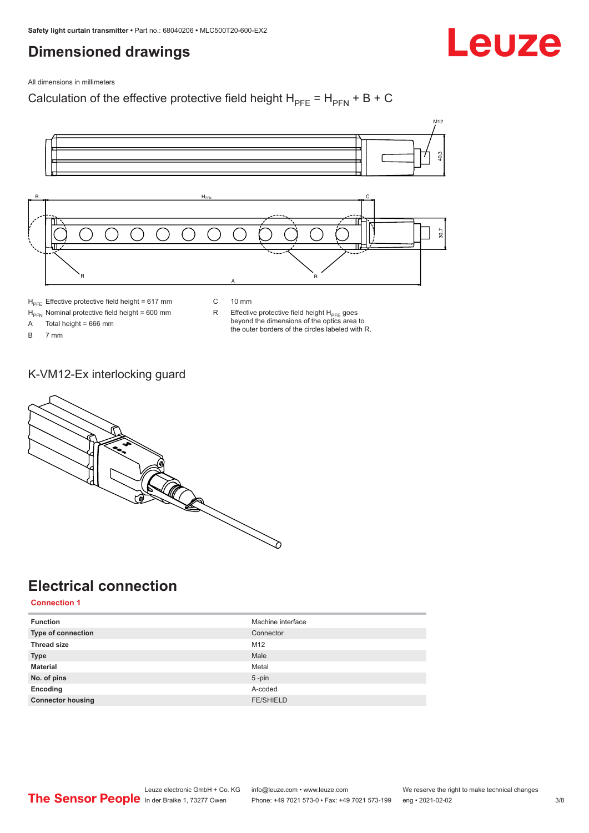### <span id="page-2-0"></span>**Dimensioned drawings**

Leuze

All dimensions in millimeters

Calculation of the effective protective field height  $H_{PFE} = H_{PFN} + B + C$ 



 $H<sub>PE</sub>$  Effective protective field height = 617 mm

 $H_{\text{PFN}}$  Nominal protective field height = 600 mm<br>A Total height = 666 mm

Total height = 666 mm

B 7 mm

C 10 mm

 $R$  Effective protective field height  $H_{PFE}$  goes beyond the dimensions of the optics area to the outer borders of the circles labeled with R.

#### K-VM12-Ex interlocking guard



## **Electrical connection**

**Connection 1**

| <b>Function</b>           | Machine interface |
|---------------------------|-------------------|
| <b>Type of connection</b> | Connector         |
| <b>Thread size</b>        | M12               |
| <b>Type</b>               | Male              |
| <b>Material</b>           | Metal             |
| No. of pins               | $5 - pin$         |
| Encoding                  | A-coded           |
| <b>Connector housing</b>  | <b>FE/SHIELD</b>  |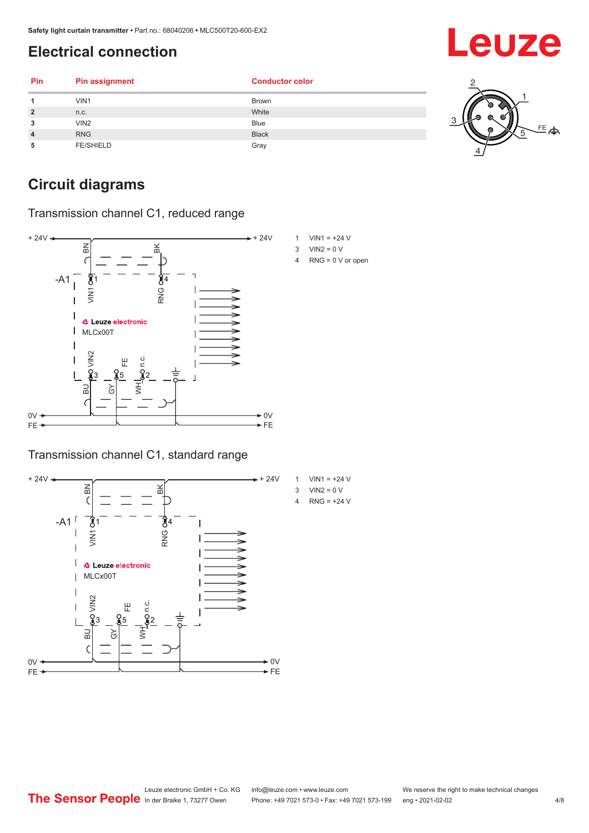## <span id="page-3-0"></span>**Electrical connection**

| Pin            | <b>Pin assignment</b> | <b>Conductor color</b> |    |
|----------------|-----------------------|------------------------|----|
| и              | VIN1                  | <b>Brown</b>           |    |
| $\overline{2}$ | n.c.                  | White                  |    |
| 3              | VIN2                  | <b>Blue</b>            |    |
| $\overline{4}$ | <b>RNG</b>            | <b>Black</b>           | 写本 |
| 5              | <b>FE/SHIELD</b>      | Gray                   |    |

## **Circuit diagrams**

Transmission channel C1, reduced range



#### Transmission channel C1, standard range





- $3$  VIN2 = 0 V
- 4 RNG = 0 V or open

Leuze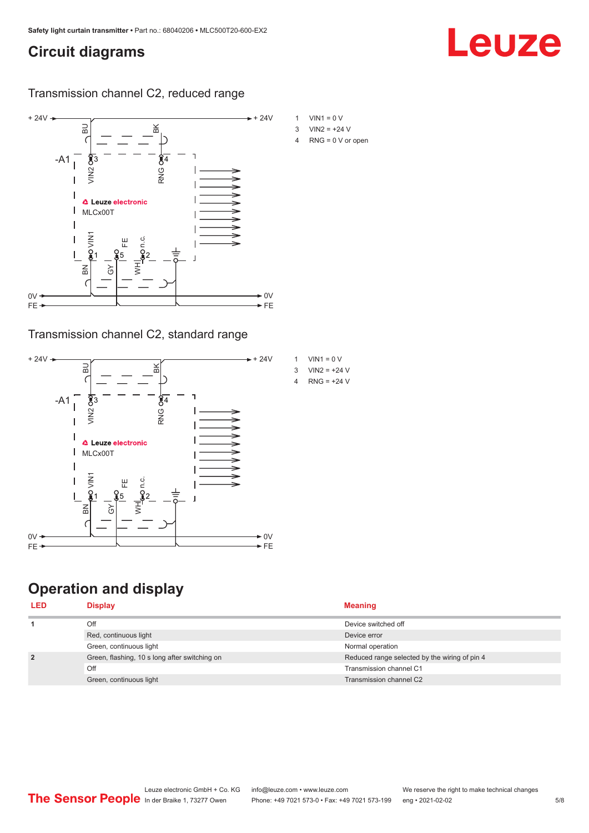### <span id="page-4-0"></span>**Circuit diagrams**

Leuze

Transmission channel C2, reduced range



Transmission channel C2, standard range



## **Operation and display**

| <b>Display</b>                                | <b>Meaning</b>                                |
|-----------------------------------------------|-----------------------------------------------|
| Off                                           | Device switched off                           |
| Red, continuous light                         | Device error                                  |
| Green, continuous light                       | Normal operation                              |
| Green, flashing, 10 s long after switching on | Reduced range selected by the wiring of pin 4 |
| Off                                           | Transmission channel C1                       |
| Green, continuous light                       | Transmission channel C2                       |
|                                               |                                               |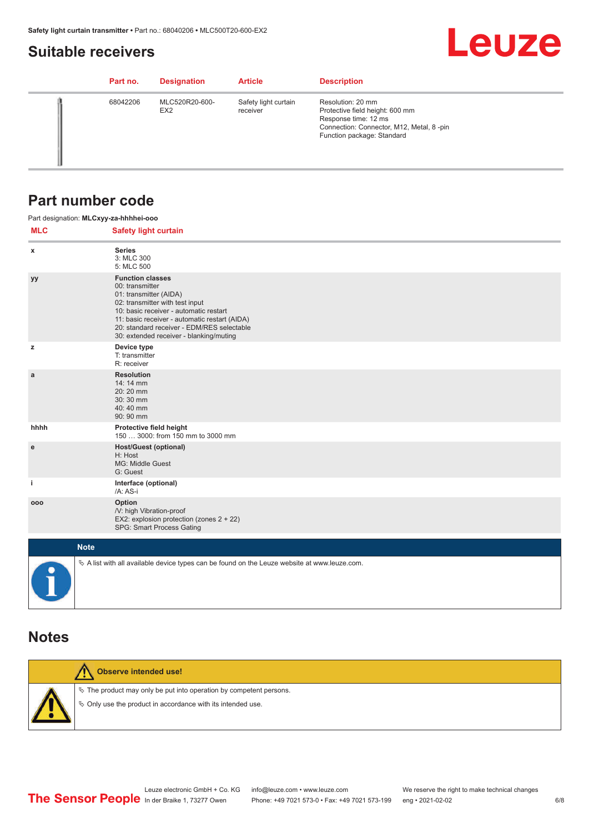#### <span id="page-5-0"></span>**Suitable receivers**

## **Leuze**

| Part no. | <b>Designation</b>                | <b>Article</b>                   | <b>Description</b>                                                                                                                                     |
|----------|-----------------------------------|----------------------------------|--------------------------------------------------------------------------------------------------------------------------------------------------------|
| 68042206 | MLC520R20-600-<br>EX <sub>2</sub> | Safety light curtain<br>receiver | Resolution: 20 mm<br>Protective field height: 600 mm<br>Response time: 12 ms<br>Connection: Connector, M12, Metal, 8-pin<br>Function package: Standard |

#### **Part number code**

|            | Part designation: MLCxyy-za-hhhhei-ooo                                                                                                                                                                                                                                                      |
|------------|---------------------------------------------------------------------------------------------------------------------------------------------------------------------------------------------------------------------------------------------------------------------------------------------|
| <b>MLC</b> | <b>Safety light curtain</b>                                                                                                                                                                                                                                                                 |
| x          | <b>Series</b><br>3: MLC 300<br>5: MLC 500                                                                                                                                                                                                                                                   |
| уу         | <b>Function classes</b><br>00: transmitter<br>01: transmitter (AIDA)<br>02: transmitter with test input<br>10: basic receiver - automatic restart<br>11: basic receiver - automatic restart (AIDA)<br>20: standard receiver - EDM/RES selectable<br>30: extended receiver - blanking/muting |
| z          | Device type<br>T: transmitter<br>R: receiver                                                                                                                                                                                                                                                |
| a          | <b>Resolution</b><br>14: 14 mm<br>20:20 mm<br>30:30 mm<br>40:40 mm<br>90: 90 mm                                                                                                                                                                                                             |
| hhhh       | Protective field height<br>150  3000: from 150 mm to 3000 mm                                                                                                                                                                                                                                |
| e          | <b>Host/Guest (optional)</b><br>H: Host<br>MG: Middle Guest<br>G: Guest                                                                                                                                                                                                                     |
| j.         | Interface (optional)<br>/A: AS-i                                                                                                                                                                                                                                                            |
| 000        | Option<br>/V: high Vibration-proof<br>EX2: explosion protection (zones 2 + 22)<br>SPG: Smart Process Gating                                                                                                                                                                                 |
|            | <b>Note</b>                                                                                                                                                                                                                                                                                 |
| $\bullet$  | $\&$ A list with all available device types can be found on the Leuze website at www.leuze.com.                                                                                                                                                                                             |

#### **Notes**

| Observe intended use!                                                                                                                |
|--------------------------------------------------------------------------------------------------------------------------------------|
| $\&$ The product may only be put into operation by competent persons.<br>§ Only use the product in accordance with its intended use. |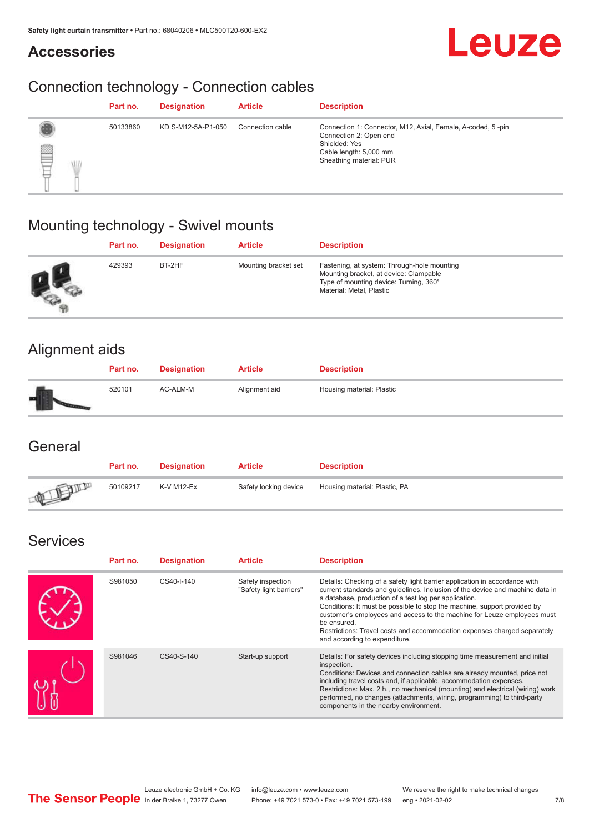#### **Accessories**



## Connection technology - Connection cables

|                      | Part no. | <b>Designation</b> | <b>Article</b>   | <b>Description</b>                                                                                                                                          |
|----------------------|----------|--------------------|------------------|-------------------------------------------------------------------------------------------------------------------------------------------------------------|
| ▤<br><b>ALL</b><br>₽ | 50133860 | KD S-M12-5A-P1-050 | Connection cable | Connection 1: Connector, M12, Axial, Female, A-coded, 5-pin<br>Connection 2: Open end<br>Shielded: Yes<br>Cable length: 5,000 mm<br>Sheathing material: PUR |

## Mounting technology - Swivel mounts

| Part no. | <b>Designation</b> | <b>Article</b>       | <b>Description</b>                                                                                                                                          |
|----------|--------------------|----------------------|-------------------------------------------------------------------------------------------------------------------------------------------------------------|
| 429393   | BT-2HF             | Mounting bracket set | Fastening, at system: Through-hole mounting<br>Mounting bracket, at device: Clampable<br>Type of mounting device: Turning, 360°<br>Material: Metal, Plastic |

## Alignment aids

| Part no. | <b>Designation</b> | <b>Article</b> | <b>Description</b>        |
|----------|--------------------|----------------|---------------------------|
| 520101   | AC-ALM-M           | Alignment aid  | Housing material: Plastic |

#### **General**

|               | Part no. | <b>Designation</b> | <b>Article</b>        | <b>Description</b>            |
|---------------|----------|--------------------|-----------------------|-------------------------------|
| <b>ATELIA</b> | 50109217 | K-V M12-Ex         | Safety locking device | Housing material: Plastic, PA |

#### Services

| Part no. | <b>Designation</b> | <b>Article</b>                               | <b>Description</b>                                                                                                                                                                                                                                                                                                                                                                                                                                                                                      |
|----------|--------------------|----------------------------------------------|---------------------------------------------------------------------------------------------------------------------------------------------------------------------------------------------------------------------------------------------------------------------------------------------------------------------------------------------------------------------------------------------------------------------------------------------------------------------------------------------------------|
| S981050  | CS40-I-140         | Safety inspection<br>"Safety light barriers" | Details: Checking of a safety light barrier application in accordance with<br>current standards and quidelines. Inclusion of the device and machine data in<br>a database, production of a test log per application.<br>Conditions: It must be possible to stop the machine, support provided by<br>customer's employees and access to the machine for Leuze employees must<br>be ensured.<br>Restrictions: Travel costs and accommodation expenses charged separately<br>and according to expenditure. |
| S981046  | CS40-S-140         | Start-up support                             | Details: For safety devices including stopping time measurement and initial<br>inspection.<br>Conditions: Devices and connection cables are already mounted, price not<br>including travel costs and, if applicable, accommodation expenses.<br>Restrictions: Max. 2 h., no mechanical (mounting) and electrical (wiring) work<br>performed, no changes (attachments, wiring, programming) to third-party<br>components in the nearby environment.                                                      |